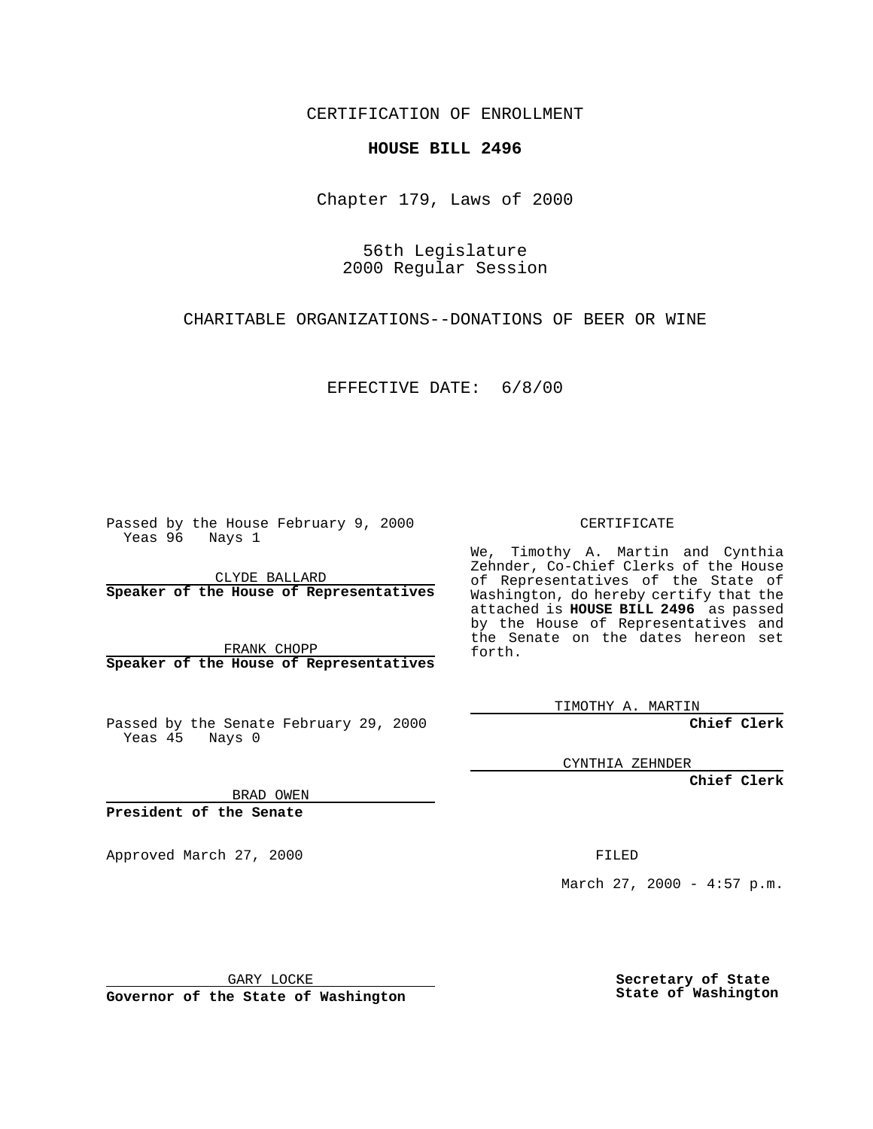CERTIFICATION OF ENROLLMENT

## **HOUSE BILL 2496**

Chapter 179, Laws of 2000

56th Legislature 2000 Regular Session

CHARITABLE ORGANIZATIONS--DONATIONS OF BEER OR WINE

EFFECTIVE DATE: 6/8/00

Passed by the House February 9, 2000 Yeas 96 Nays 1

CLYDE BALLARD **Speaker of the House of Representatives**

FRANK CHOPP **Speaker of the House of Representatives**

Passed by the Senate February 29, 2000 Yeas 45 Nays 0

CERTIFICATE

We, Timothy A. Martin and Cynthia Zehnder, Co-Chief Clerks of the House of Representatives of the State of Washington, do hereby certify that the attached is **HOUSE BILL 2496** as passed by the House of Representatives and the Senate on the dates hereon set forth.

TIMOTHY A. MARTIN

**Chief Clerk**

CYNTHIA ZEHNDER

**Chief Clerk**

BRAD OWEN

**President of the Senate**

Approved March 27, 2000 FILED

March 27, 2000 - 4:57 p.m.

GARY LOCKE

**Governor of the State of Washington**

**Secretary of State State of Washington**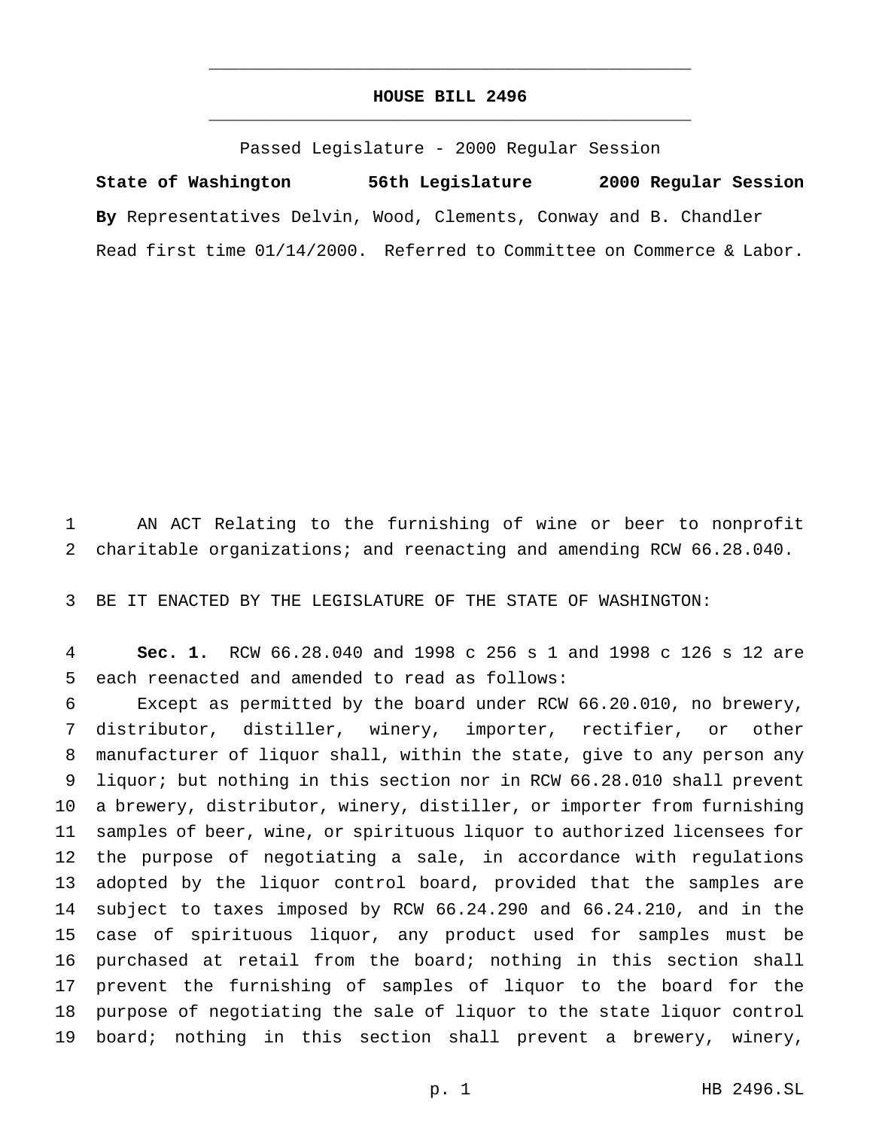## **HOUSE BILL 2496** \_\_\_\_\_\_\_\_\_\_\_\_\_\_\_\_\_\_\_\_\_\_\_\_\_\_\_\_\_\_\_\_\_\_\_\_\_\_\_\_\_\_\_\_\_\_\_

\_\_\_\_\_\_\_\_\_\_\_\_\_\_\_\_\_\_\_\_\_\_\_\_\_\_\_\_\_\_\_\_\_\_\_\_\_\_\_\_\_\_\_\_\_\_\_

Passed Legislature - 2000 Regular Session

**State of Washington 56th Legislature 2000 Regular Session By** Representatives Delvin, Wood, Clements, Conway and B. Chandler Read first time 01/14/2000. Referred to Committee on Commerce & Labor.

 AN ACT Relating to the furnishing of wine or beer to nonprofit charitable organizations; and reenacting and amending RCW 66.28.040.

BE IT ENACTED BY THE LEGISLATURE OF THE STATE OF WASHINGTON:

 **Sec. 1.** RCW 66.28.040 and 1998 c 256 s 1 and 1998 c 126 s 12 are each reenacted and amended to read as follows:

 Except as permitted by the board under RCW 66.20.010, no brewery, distributor, distiller, winery, importer, rectifier, or other manufacturer of liquor shall, within the state, give to any person any liquor; but nothing in this section nor in RCW 66.28.010 shall prevent a brewery, distributor, winery, distiller, or importer from furnishing samples of beer, wine, or spirituous liquor to authorized licensees for the purpose of negotiating a sale, in accordance with regulations adopted by the liquor control board, provided that the samples are subject to taxes imposed by RCW 66.24.290 and 66.24.210, and in the case of spirituous liquor, any product used for samples must be purchased at retail from the board; nothing in this section shall prevent the furnishing of samples of liquor to the board for the purpose of negotiating the sale of liquor to the state liquor control board; nothing in this section shall prevent a brewery, winery,